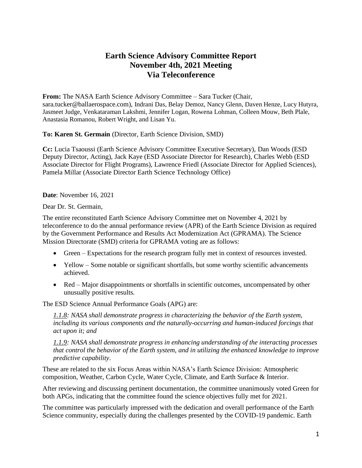## **Earth Science Advisory Committee Report November 4th, 2021 Meeting Via Teleconference**

**From:** The NASA Earth Science Advisory Committee – Sara Tucker (Chair, sara.tucker@ballaerospace.com), Indrani Das, Belay Demoz, Nancy Glenn, Daven Henze, Lucy Hutyra, Jasmeet Judge, Venkataraman Lakshmi, Jennifer Logan, Rowena Lohman, Colleen Mouw, Beth Plale, Anastasia Romanou, Robert Wright, and Lisan Yu.

**To: Karen St. Germain** (Director, Earth Science Division, SMD)

**Cc:** Lucia Tsaoussi (Earth Science Advisory Committee Executive Secretary), Dan Woods (ESD Deputy Director, Acting), Jack Kaye (ESD Associate Director for Research), Charles Webb (ESD Associate Director for Flight Programs), Lawrence Friedl (Associate Director for Applied Sciences), Pamela Millar (Associate Director Earth Science Technology Office)

**Date**: November 16, 2021

Dear Dr. St. Germain,

The entire reconstituted Earth Science Advisory Committee met on November 4, 2021 by teleconference to do the annual performance review (APR) of the Earth Science Division as required by the Government Performance and Results Act Modernization Act (GPRAMA). The Science Mission Directorate (SMD) criteria for GPRAMA voting are as follows:

- Green Expectations for the research program fully met in context of resources invested.
- Yellow Some notable or significant shortfalls, but some worthy scientific advancements achieved.
- Red Major disappointments or shortfalls in scientific outcomes, uncompensated by other unusually positive results.

The ESD Science Annual Performance Goals (APG) are:

*1.1.8: NASA shall demonstrate progress in characterizing the behavior of the Earth system, including its various components and the naturally-occurring and human-induced forcings that act upon it; and* 

*1.1.9: NASA shall demonstrate progress in enhancing understanding of the interacting processes that control the behavior of the Earth system, and in utilizing the enhanced knowledge to improve predictive capability*.

These are related to the six Focus Areas within NASA's Earth Science Division: Atmospheric composition, Weather, Carbon Cycle, Water Cycle, Climate, and Earth Surface & Interior.

After reviewing and discussing pertinent documentation, the committee unanimously voted Green for both APGs, indicating that the committee found the science objectives fully met for 2021.

The committee was particularly impressed with the dedication and overall performance of the Earth Science community, especially during the challenges presented by the COVID-19 pandemic. Earth